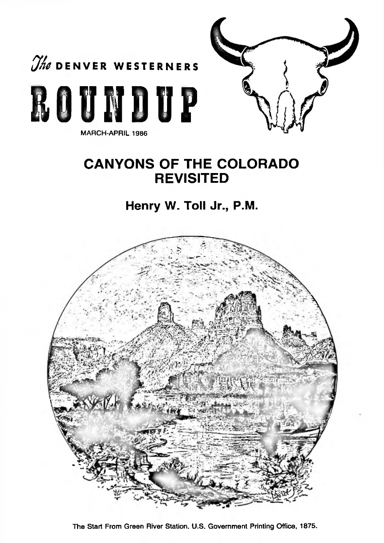

MARCH-APRIL 1986



# **CANYONS OF THE COLORADO REVISITED**

## Henry W. Toll Jr., P.M.



The Start From Green River Station. U.S. Government Printing Office, 1875.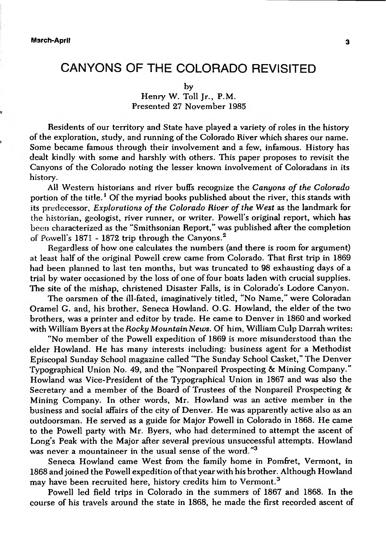### CANYONS OF THE COLORADO REVISITED

### Henry W. Toll Ir., P.M. Presented 27 November 1985

Residents of our territory and State have played a variety ofroles in the history of the exploration, study, and running ofthe Colorado River which shares our name. Some became famous through their involvement and a few, infamous. History has dealt kindly with some and harshly with others. This paper proposes to revisit the Canyons of the Colorado noting the lesser known involvement of Coloradans in its history.

All Western historians and river buffs recognize the *Canyons of the Colorado* portion of the title.<sup>1</sup> Of the myriad books published about the river, this stands with its predecessor. *Explorations of the Colorado River ofthe West* as the landmark for the historian, geologist, river runner, or writer. Powell's original report, which has been characterized as the "Smithsonian Report," was published after the completion of Powell's 1871 - 1872 trip through the Canyons.<sup>2</sup>

Regardless of how one calculates the numbers (and there is room for argument) at least half of the original Powell crew came from Colorado. That first trip in 1869 had been planned to last ten months, but was truncated to 98 exhausting days of a trial by water occasioned by the loss of one of four boats laden with crucial supplies. The site of the mishap, christened Disaster Falls, is in Colorado's Lodore Canyon.

The oarsmen of the ill-fated, imaginatively titled, "No Name," were Coloradan Oramel G. and, his brother, Seneca Howland. O.G. Howland, the elder of the two brothers, was a printer and editor by trade. He came to Denver in 1860 and worked with William Byers at the *Rocky Mountain News.* Of him, William Culp Darrah writes:

"No member of the Powell expedition of 1869 is more misunderstood than the elder Howland. He has many interests including: business agent for a Methodist Episcopal Sunday School magazine called "The Sunday School Casket," The Denver Typographical Union No. 49, and the "Nonpareil Prospecting & Mining Company." Howland was Vice-President of the Typographical Union in 1867 and was also the Secretary and a member of the Board of Trustees of the Nonpareil Prospecting & Mining Company. In other words, Mr. Howland was an active member in the business and social affairs of the city of Denver. He was apparently active also as an outdoorsman. He served as a guide for Major Powell in Colorado in 1868. He came to the Powell party with Mr. Byers, who had determined to attempt the ascent of Long's Peak with the Major after several previous unsuccessful attempts. Howland was never a mountaineer in the usual sense of the word."<sup>3</sup>

Seneca Howland came West from the family home in Pomfret, Vermont, in 1868 and joined the Powell expedition ofthatyear with his brother. Although Howland may have been recruited here, history credits him to Vermont.<sup>3</sup>

Powell led field trips in Colorado in the summers of 1867 and 1868. In the course of his travels around the state in 1868, he made the first recorded ascent of

by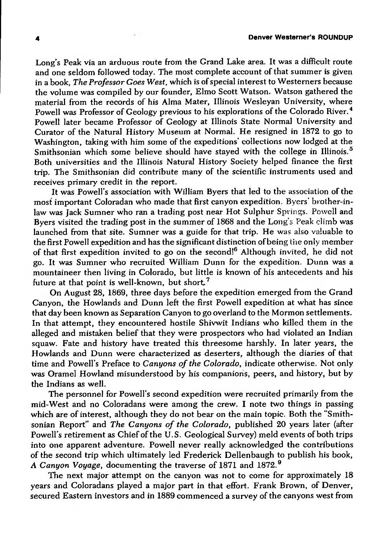Long's Peak via an arduous route from the Grand Lake area. It was a difficult route and one seldom followed today. The most complete account of that summer is given in a book, *The Professor Goes West*, which is of special interest to Westerners because the volume was compiled by our founder, Elmo Scott Watson. Watson gathered the material from the records of his Alma Mater, Illinois Wesleyan University, where Powell was Professor of Geology previous to his explorations of the Colorado River.<sup>4</sup> Powell later became Professor of Geology at Illinois State Normal University and Curator of the Natural History Museum at Normal. He resigned in 1872 to go to Washington, taking with him some of the expeditions' collections now lodged at the Smithsonian which some believe should have stayed with the college in Illinois.<sup>5</sup> Both universities and the Illinois Natural History Society helped finance the first trip. The Smithsonian did contribute many of the scientific instruments used and receives primary credit in the report.

It was Powell's association with William Byers that led to the association of the most important Coloradan who made that first canyon expedition. Byers' brother-inlaw was Jack Sumner who ran a trading post near Hot Sulphur Springs. Powell and Byers visited the trading post in the summer of 1868 and the Long's Peak climb was launched from that site. Sumner was a guide for that trip. He was also valuable to the first Powell expedition and has the significant distinction of being the only member of that first expedition invited to go on the second!<sup>6</sup> Although invited, he did not go. It was Sumner who recruited William Dunn for the expedition. Dunn was a mountaineer then living in Colorado, but little is known of his antecedents and his future at that point is well-known, but short.<sup>7</sup>

On August 28, 1869, three days before the expedition emerged from the Grand Canyon, the Howlands and Dunn left the first Powell expedition at what has since that day been known as Separation Canyon to go overland to the Mormon settlements. In that attempt, they encountered hostile Shivwit Indians who killed them in the alleged and mistaken belief that they were prospectors who had violated an Indian squaw. Fate and history have treated this threesome harshly. In later years, the Howlands and Dunn were characterized as deserters, although the diaries of that time and Powell'<sup>s</sup> Preface to *Canyons ofthe Colorado,* indicate otherwise. Not only was Oramel Howland misunderstood by his companions, peers, and history, but by the Indians as well.

The personnel for Powell's second expedition were recruited primarily from the mid-West and no Coloradans were among the crew. I note two things in passing which are of interest, although they do not bear on the main topic. Both the "Smithsonian Report" and *The Canyons of the Colorado,* published 20 years later (after Powell's retirement as Chief of the U.S. Geological Survey) meld events of both trips into one apparent adventure. Powell never really acknowledged the contributions of the second trip which ultimately led Frederick Dellenbaugh to publish his book, A *Canyon Voyage,* documenting the traverse of 1871 and 1872.<sup>9</sup>

The next major attempt on the canyon was not to come for approximately 18 years and Coloradans played a major part in that effort. Frank Brown, of Denver, secured Eastern investors and in 1889 commenced a survey of the canyons west from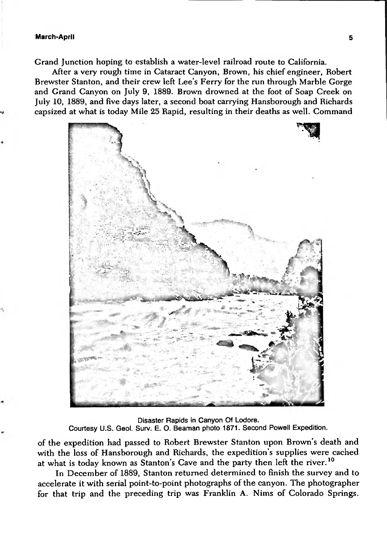#### **March-April 5**

Grand Junction hoping to establish a water-level railroad route to California.

After a very rough time in Cataract Canyon, Brown, his chief engineer, Robert Brewster Stanton, and their crew left Lee's Ferry for the run through Marble Gorge and Grand Canyon on July 9, 1889. Brown drowned at the foot of Soap Creek on July 10, 1889, and five days later, a second boat carrying Hansborough and Richards capsized at what is today Mile 25 Rapid, resulting in their deaths as well. Command



Disaster Rapids in Canyon Of Lodore. Courtesy U.S. Geol. Surv. E. O. Beaman photo 1871. Second Powell Expedition.

of the expedition had passed to Robert Brewster Stanton upon Brown's death and with the loss of Hansborough and Richards, the expedition's supplies were cached at what is today known as Stanton's Cave and the party then left the river.<sup>10</sup>

In December of 1889, Stanton returned determined to finish the survey and to accelerate it with serial point-to-point photographs of the canyon. The photographer for that trip and the preceding trip was Franklin A. Nims of Colorado Springs.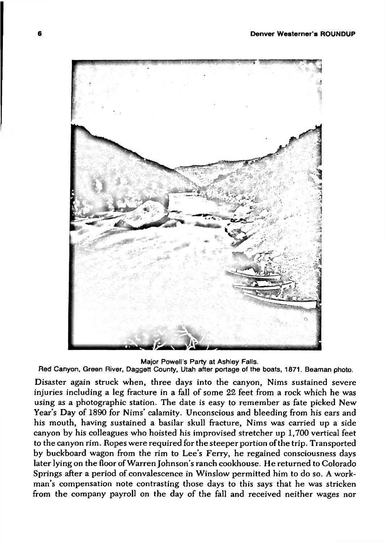

Major Powell's Party at Ashley Falls.

Red Canyon, Green River, Daggett County, Utah after portage of the boats, 1871. Beaman photo.

Disaster again struck when, three days into the canyon, Nims sustained severe injuries including a leg fracture in a fall of some 22 feet from a rock which he was using as a photographic station. The date is easy to remember as fate picked New Year's Day of 1890 for Nims' calamity. Unconscious and bleeding from his ears and his mouth, having sustained a basilar skull fracture, Nims was carried up a side canyon by his colleagues who hoisted his improvised stretcher up 1,700 vertical feet to the canyon rim. Ropes were required for the steeper portion ofthe trip. Transported by buckboard wagon from the rim to Lee's Ferry, he regained consciousness days later lying on the floor of Warren Johnson's ranch cookhouse. He returned to Colorado Springs after a period of convalescence in Winslow permitted him to do so. A workman's compensation note contrasting those days to this says that he was stricken from the company payroll on the day of the fall and received neither wages nor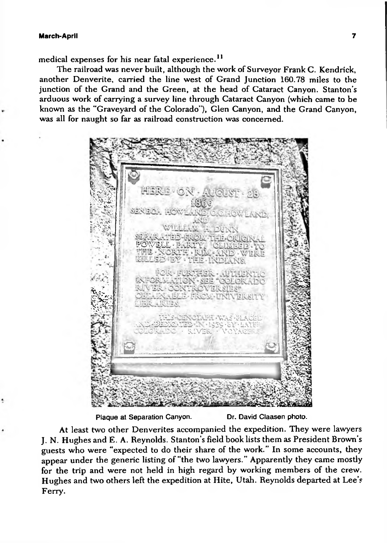medical expenses for his near fatal experience.<sup>11</sup>

The railroad was never built, although the work of Surveyor Frank C. Kendrick, another Denverite, carried the line west of Grand Junction 160.78 miles to the junction of the Grand and the Green, at the head of Cataract Canyon. Stanton's arduous work of carrying a survey line through Cataract Canyon (which came to be known as the "Graveyard of the Colorado"), Glen Canyon, and the Grand Canyon, was all for naught so far as railroad construction was concerned.



Plaque at Separation Canyon. Dr. David Claasen photo.

At least two other Denverites accompanied the expedition. They were lawyers J. N. Hughes and E. A. Reynolds. Stanton's field book lists them as President Brown's guests who were "expected to do their share of the work." In some accounts, they appear under the generic listing of "the two lawyers." Apparently they came mostly for the trip and were not held in high regard by working members of the crew. Hughes and two others left the expedition at Hite, Utah. Reynolds departed at Lee's Ferry.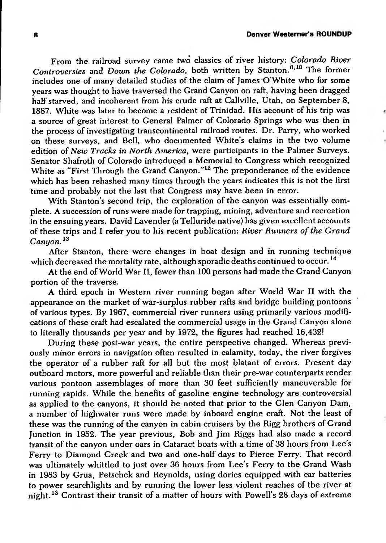From the railroad survey came two classics of river history: *Colorado River Controversies* and *Down the Colorado,* both written by Stanton.8,10 The former includes one of many detailed studies of the claim of Iames O'White who for some years was thought to have traversed the Grand Canyon on raft, having been dragged half starved, and incoherent from his crude raft at Callville, Utah, on September 8, 1887. White was later to become a resident of Trinidad. His account of his trip was a source of great interest to General Palmer of Colorado Springs who was then in the process of investigating transcontinental railroad routes. Dr. Parry, who worked on these surveys, and Bell, who documented White's claims in the two volume edition of *New Tracks in North America,* were participants in the Palmer Surveys. Senator Shafroth of Colorado introduced a Memorial to Congress which recognized White as "First Through the Grand Canyon."<sup>12</sup> The preponderance of the evidence which has been rehashed many times through the years indicates this is not the first time and probably not the last that Congress may have been in error.

With Stanton's second trip, the exploration of the canyon was essentially complete. A succession ofruns were made for trapping, mining, adventure and recreation in the ensuing years. David Lavender (a Telluride native) has given excellent accounts of these trips and I refer you to his recent publication: *River Runners ofthe Grand Canyon.<sup>13</sup>*

After Stanton, there were changes in boat design and in running technique which decreased the mortality rate, although sporadic deaths continued to occur.<sup>14</sup>

At the end ofWorld War II, fewer than 100 persons had made the Grand Canyon portion of the traverse.

A third epoch in Western river running began after World War II with the appearance on the market of war-surplus rubber rafts and bridge building pontoons of various types. By 1967, commercial river runners using primarily various modifications of these craft had escalated the commercial usage in the Grand Canyon alone to literally thousands per year and by 1972, the figures had reached 16,432!

During these post-war years, the entire perspective changed. Whereas previously minor errors in navigation often resulted in calamity, today, the river forgives the operator of a rubber raft for all but the most blatant of errors. Present day outboard motors, more powerful and reliable than their pre-war counterparts render various pontoon assemblages of more than 30 feet sufficiently maneuverable for running rapids. While the benefits of gasoline engine technology are controversial as applied to the canyons, it should be noted that prior to the Glen Canyon Dam, a number of highwater runs were made by inboard engine craft. Not the least of these was the running of the canyon in cabin cruisers by the Rigg brothers of Grand Junction in 1952. The year previous, Bob and Jim Riggs had also made a record transit of the canyon under oars in Cataract boats with a time of 38 hours from Lee's Ferry to Diamond Creek and two and one-half days to Pierce Ferry. That record was ultimately whittled to just over 36 hours from Lee's Ferry to the Grand Wash in 1983 by Grua, Petschek and Reynolds, using dories equipped with car batteries to power searchlights and by running the lower less violent reaches of the river at night.<sup>13</sup> Contrast their transit of a matter of hours with Powell's 28 days of extreme